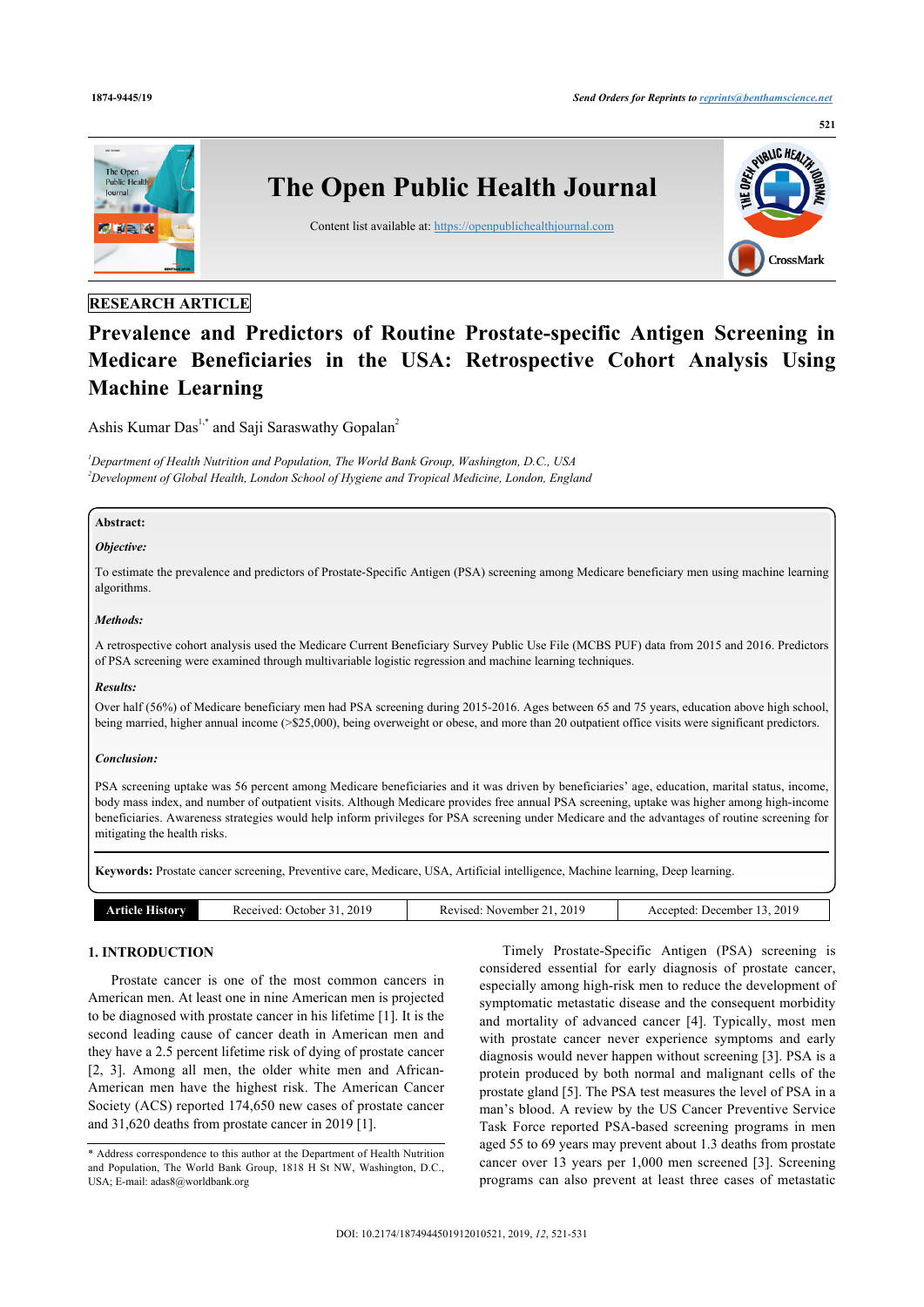

# **RESEARCH ARTICLE**

# **Prevalence and Predictors of Routine Prostate-specific Antigen Screening in Medicare Beneficiaries in the USA: Retrospective Cohort Analysis Using Machine Learning**

Ashis Kumar Das<sup>[1,](#page-0-0)[\\*](#page-0-1)</sup> and Saji Saraswathy Gopalan<sup>[2](#page-0-2)</sup>

<span id="page-0-2"></span><span id="page-0-0"></span>*<sup>1</sup>Department of Health Nutrition and Population, The World Bank Group, Washington, D.C., USA <sup>2</sup>Development of Global Health, London School of Hygiene and Tropical Medicine, London, England*

# **Abstract:**

#### *Objective:*

To estimate the prevalence and predictors of Prostate-Specific Antigen (PSA) screening among Medicare beneficiary men using machine learning algorithms.

#### *Methods:*

A retrospective cohort analysis used the Medicare Current Beneficiary Survey Public Use File (MCBS PUF) data from 2015 and 2016. Predictors of PSA screening were examined through multivariable logistic regression and machine learning techniques.

#### *Results:*

Over half (56%) of Medicare beneficiary men had PSA screening during 2015-2016. Ages between 65 and 75 years, education above high school, being married, higher annual income (>\$25,000), being overweight or obese, and more than 20 outpatient office visits were significant predictors.

#### *Conclusion:*

PSA screening uptake was 56 percent among Medicare beneficiaries and it was driven by beneficiaries' age, education, marital status, income, body mass index, and number of outpatient visits. Although Medicare provides free annual PSA screening, uptake was higher among high-income beneficiaries. Awareness strategies would help inform privileges for PSA screening under Medicare and the advantages of routine screening for mitigating the health risks.

**Keywords:** Prostate cancer screening, Preventive care, Medicare, USA, Artificial intelligence, Machine learning, Deep learning.

| <b>History</b><br>. Tidle ' | 2019<br>Received:<br>October<br>$\rightarrow$ 1 | 2019<br>November<br>Revised | 2019<br>Accepted:<br>December |
|-----------------------------|-------------------------------------------------|-----------------------------|-------------------------------|

#### **1. INTRODUCTION**

Prostate cancer is one of the most common cancers in American men. At least one in nine American men is projected to be diagnosed with prostate cancer in his lifetime [[1](#page-9-0)]. It is the second leading cause of cancer death in American men and they have a 2.5 percent lifetime risk of dying of prostate cancer [[2](#page-9-1), [3\]](#page-9-2). Among all men, the older white men and African-American men have the highest risk. The American Cancer Society (ACS) reported 174,650 new cases of prostate cancer and 31,620 deaths from prostate cancer in 2019 [[1](#page-9-0)].

Timely Prostate-Specific Antigen (PSA) screening is considered essential for early diagnosis of prostate cancer, especially among high-risk men to reduce the development of symptomatic metastatic disease and the consequent morbidity and mortality of advanced cancer [\[4](#page-9-3)]. Typically, most men with prostate cancer never experience symptoms and early diagnosis would never happen without screening [\[3\]](#page-9-2). PSA is a protein produced by both normal and malignant cells of the prostate gland [\[5\]](#page-10-0). The PSA test measures the level of PSA in a man's blood. A review by the US Cancer Preventive Service Task Force reported PSA-based screening programs in men aged 55 to 69 years may prevent about 1.3 deaths from prostate cancer over 13 years per 1,000 men screened [\[3](#page-9-2)]. Screening programs can also prevent at least three cases of metastatic

<span id="page-0-1"></span><sup>\*</sup> Address correspondence to this author at the Department of Health Nutrition and Population, The World Bank Group, 1818 H St NW, Washington, D.C., USA; E-mail: [adas8@worldbank.org](mailto:adas8@worldbank.org)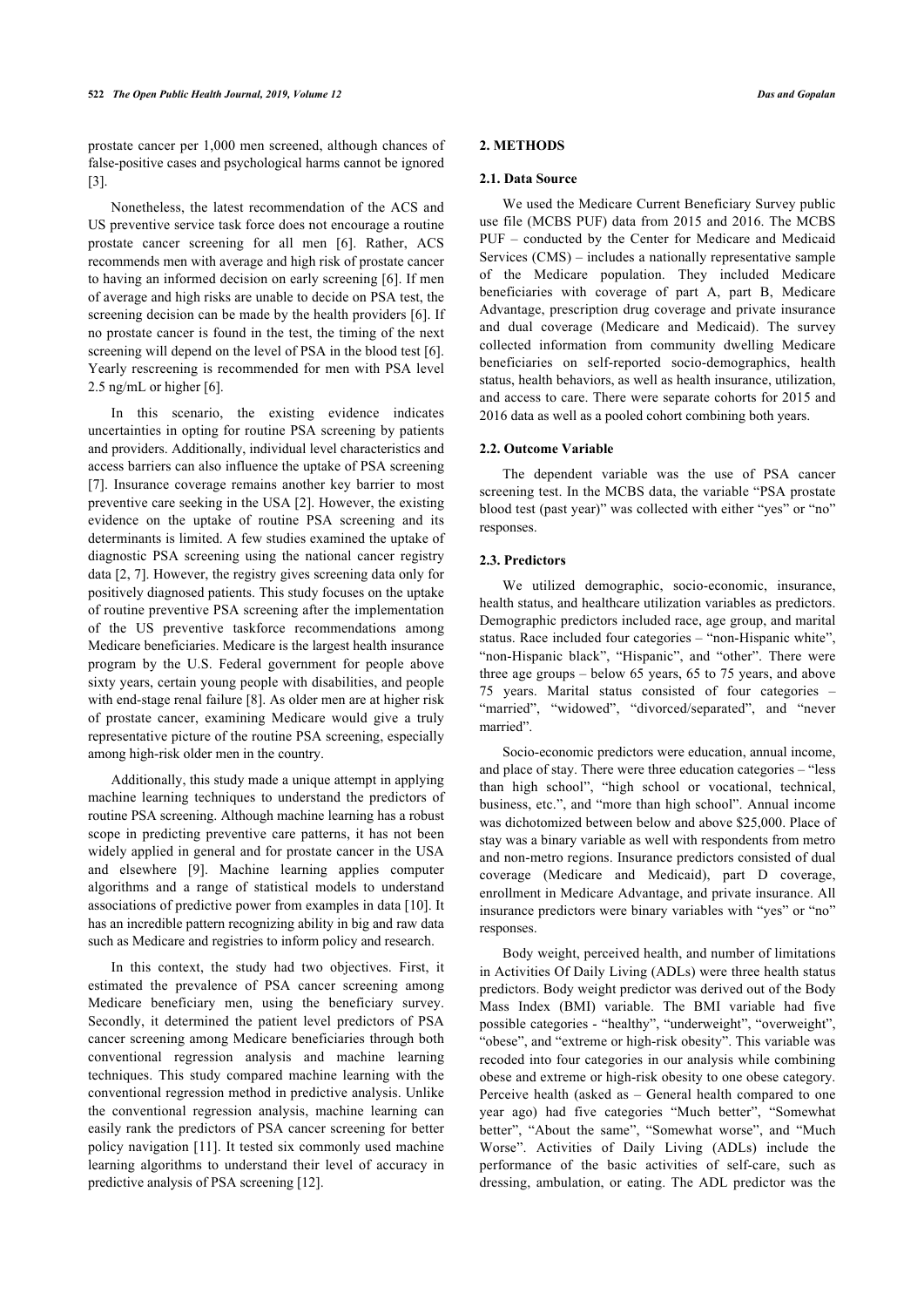prostate cancer per 1,000 men screened, although chances of false-positive cases and psychological harms cannot be ignored [[3](#page-9-2)].

Nonetheless, the latest recommendation of the ACS and US preventive service task force does not encourage a routine prostate cancer screening for all men[[6](#page-10-1)]. Rather, ACS recommends men with average and high risk of prostate cancer to having an informed decision on early screening [\[6\]](#page-10-1). If men of average and high risks are unable to decide on PSA test, the screening decision can be made by the health providers [[6](#page-10-1)]. If no prostate cancer is found in the test, the timing of the next screening will depend on the level of PSA in the blood test [\[6](#page-10-1)]. Yearly rescreening is recommended for men with PSA level 2.5 ng/mL or higher [\[6\]](#page-10-1).

In this scenario, the existing evidence indicates uncertainties in opting for routine PSA screening by patients and providers. Additionally, individual level characteristics and access barriers can also influence the uptake of PSA screening [[7](#page-10-2)]. Insurance coverage remains another key barrier to most preventive care seeking in the USA [[2\]](#page-9-1). However, the existing evidence on the uptake of routine PSA screening and its determinants is limited. A few studies examined the uptake of diagnostic PSA screening using the national cancer registry data [\[2,](#page-9-1) [7](#page-10-2)]. However, the registry gives screening data only for positively diagnosed patients. This study focuses on the uptake of routine preventive PSA screening after the implementation of the US preventive taskforce recommendations among Medicare beneficiaries. Medicare is the largest health insurance program by the U.S. Federal government for people above sixty years, certain young people with disabilities, and people with end-stage renal failure [[8](#page-10-3)]. As older men are at higher risk of prostate cancer, examining Medicare would give a truly representative picture of the routine PSA screening, especially among high-risk older men in the country.

Additionally, this study made a unique attempt in applying machine learning techniques to understand the predictors of routine PSA screening. Although machine learning has a robust scope in predicting preventive care patterns, it has not been widely applied in general and for prostate cancer in the USA and elsewhere [\[9\]](#page-10-4). Machine learning applies computer algorithms and a range of statistical models to understand associations of predictive power from examples in data [[10](#page-10-5)]. It has an incredible pattern recognizing ability in big and raw data such as Medicare and registries to inform policy and research.

In this context, the study had two objectives. First, it estimated the prevalence of PSA cancer screening among Medicare beneficiary men, using the beneficiary survey. Secondly, it determined the patient level predictors of PSA cancer screening among Medicare beneficiaries through both conventional regression analysis and machine learning techniques. This study compared machine learning with the conventional regression method in predictive analysis. Unlike the conventional regression analysis, machine learning can easily rank the predictors of PSA cancer screening for better policy navigation [[11](#page-10-6)]. It tested six commonly used machine learning algorithms to understand their level of accuracy in predictive analysis of PSA screening [\[12](#page-10-7)].

### **2. METHODS**

#### **2.1. Data Source**

We used the Medicare Current Beneficiary Survey public use file (MCBS PUF) data from 2015 and 2016. The MCBS PUF – conducted by the Center for Medicare and Medicaid Services (CMS) – includes a nationally representative sample of the Medicare population. They included Medicare beneficiaries with coverage of part A, part B, Medicare Advantage, prescription drug coverage and private insurance and dual coverage (Medicare and Medicaid). The survey collected information from community dwelling Medicare beneficiaries on self-reported socio-demographics, health status, health behaviors, as well as health insurance, utilization, and access to care. There were separate cohorts for 2015 and 2016 data as well as a pooled cohort combining both years.

#### **2.2. Outcome Variable**

The dependent variable was the use of PSA cancer screening test. In the MCBS data, the variable "PSA prostate blood test (past year)" was collected with either "yes" or "no" responses.

#### **2.3. Predictors**

We utilized demographic, socio-economic, insurance, health status, and healthcare utilization variables as predictors. Demographic predictors included race, age group, and marital status. Race included four categories – "non-Hispanic white", "non-Hispanic black", "Hispanic", and "other". There were three age groups – below 65 years, 65 to 75 years, and above 75 years. Marital status consisted of four categories – "married", "widowed", "divorced/separated", and "never married".

Socio-economic predictors were education, annual income, and place of stay. There were three education categories – "less than high school", "high school or vocational, technical, business, etc.", and "more than high school". Annual income was dichotomized between below and above \$25,000. Place of stay was a binary variable as well with respondents from metro and non-metro regions. Insurance predictors consisted of dual coverage (Medicare and Medicaid), part D coverage, enrollment in Medicare Advantage, and private insurance. All insurance predictors were binary variables with "yes" or "no" responses.

Body weight, perceived health, and number of limitations in Activities Of Daily Living (ADLs) were three health status predictors. Body weight predictor was derived out of the Body Mass Index (BMI) variable. The BMI variable had five possible categories - "healthy", "underweight", "overweight", "obese", and "extreme or high-risk obesity". This variable was recoded into four categories in our analysis while combining obese and extreme or high-risk obesity to one obese category. Perceive health (asked as – General health compared to one year ago) had five categories "Much better", "Somewhat better", "About the same", "Somewhat worse", and "Much Worse". Activities of Daily Living (ADLs) include the performance of the basic activities of self-care, such as dressing, ambulation, or eating. The ADL predictor was the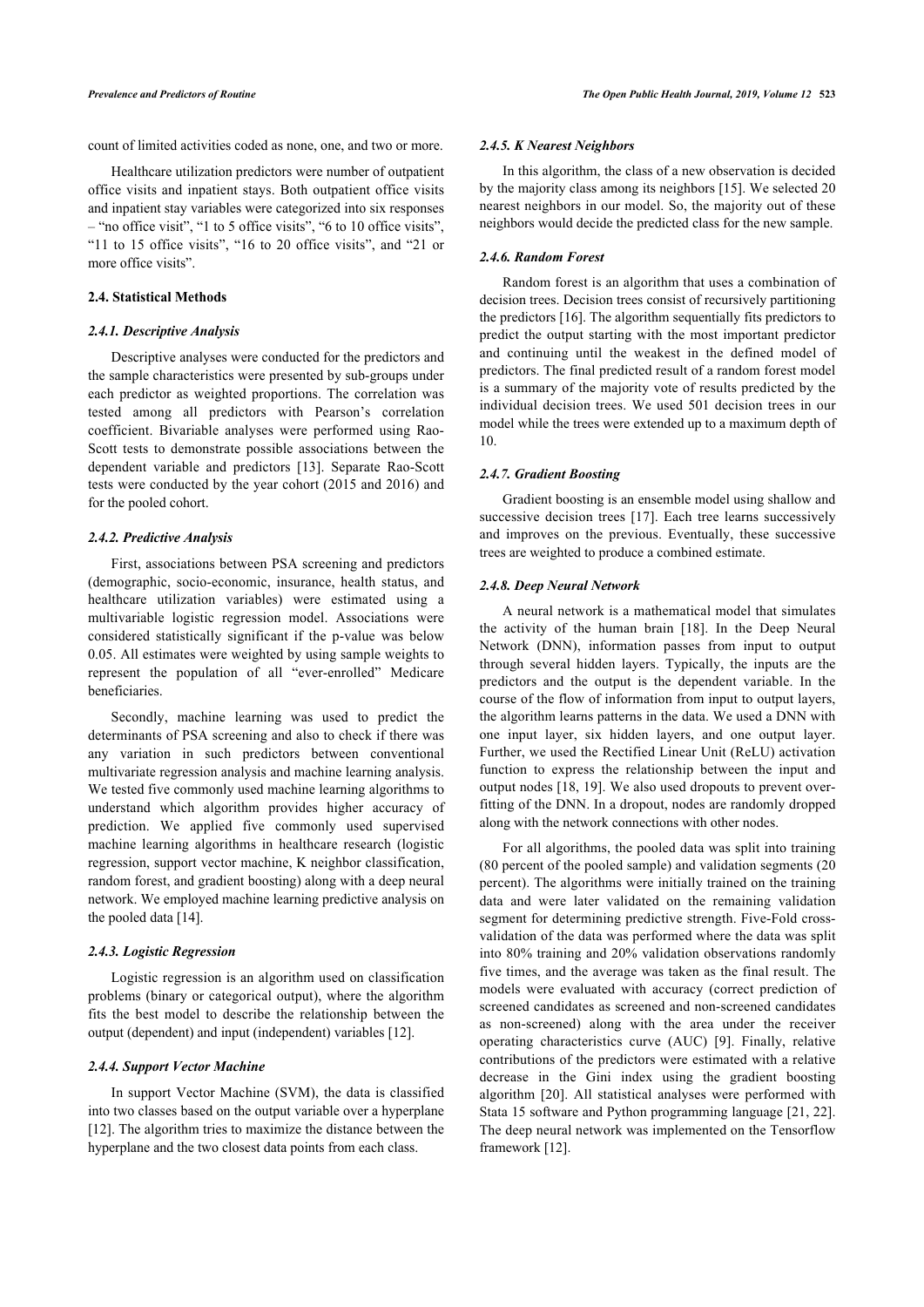count of limited activities coded as none, one, and two or more.

Healthcare utilization predictors were number of outpatient office visits and inpatient stays. Both outpatient office visits and inpatient stay variables were categorized into six responses – "no office visit", "1 to 5 office visits", "6 to 10 office visits", "11 to 15 office visits", "16 to 20 office visits", and "21 or more office visits".

### **2.4. Statistical Methods**

#### *2.4.1. Descriptive Analysis*

Descriptive analyses were conducted for the predictors and the sample characteristics were presented by sub-groups under each predictor as weighted proportions. The correlation was tested among all predictors with Pearson's correlation coefficient. Bivariable analyses were performed using Rao-Scott tests to demonstrate possible [asso](#page-10-8)ciations between the dependent variable and predictors [13]. Separate Rao-Scott tests were conducted by the year cohort (2015 and 2016) and for the pooled cohort.

#### *2.4.2. Predictive Analysis*

First, associations between PSA screening and predictors (demographic, socio-economic, insurance, health status, and healthcare utilization variables) were estimated using a multivariable logistic regression model. Associations were considered statistically significant if the p-value was below 0.05. All estimates were weighted by using sample weights to represent the population of all "ever-enrolled" Medicare beneficiaries.

Secondly, machine learning was used to predict the determinants of PSA screening and also to check if there was any variation in such predictors between conventional multivariate regression analysis and machine learning analysis. We tested five commonly used machine learning algorithms to understand which algorithm provides higher accuracy of prediction. We applied five commonly used supervised machine learning algorithms in healthcare research (logistic regression, support vector machine, K neighbor classification, random forest, and gradient boosting) along with a deep neural network. We em[plo](#page-10-9)yed machine learning predictive analysis on the pooled data [14].

#### *2.4.3. Logistic Regression*

Logistic regression is an algorithm used on classification problems (binary or categorical output), where the [algo](#page-10-7)rithm fits the best model to describe the relationship between the output (dependent) and input (independent) variables [12].

#### *2.4.4. Support Vector Machine*

<span id="page-2-0"></span>In support Vector Machine (SVM), the data is classified i[nto](#page-10-7) two classes based on the output variable over a hyperplane [12]. The algorithm tries to maximize the distance between the hyperplane and the two closest data points from each class.

#### *2.4.5. K Nearest Neighbors*

In this algorithm, the class of a new observation is decided by the majority class among its neighbors [\[15](#page-10-10)]. We selected 20 nearest neighbors in our model. So, the majority out of these neighbors would decide the predicted class for the new sample.

### *2.4.6. Random Forest*

Random forest is an algorithm that uses a combination of decision trees. Decision trees consist of recursively partitioning the predictors [[16\]](#page-10-11). The algorithm sequentially fits predictors to predict the output starting with the most important predictor and continuing until the weakest in the defined model of predictors. The final predicted result of a random forest model is a summary of the majority vote of results predicted by the individual decision trees. We used 501 decision trees in our model while the trees were extended up to a maximum depth of 10.

#### *2.4.7. Gradient Boosting*

Gradient boosting is an ensemble model using shallow and successive decision trees [[17\]](#page-10-12). Each tree learns successively and improves on the previous. Eventually, these successive trees are weighted to produce a combined estimate.

#### *2.4.8. Deep Neural Network*

A neural network is a mathematical model that simulates the activity of the human brain[[18](#page-10-13)]. In the Deep Neural Network (DNN), information passes from input to output through several hidden layers. Typically, the inputs are the predictors and the output is the dependent variable. In the course of the flow of information from input to output layers, the algorithm learns patterns in the data. We used a DNN with one input layer, six hidden layers, and one output layer. Further, we used the Rectified Linear Unit (ReLU) activation function to express the relationship between the input and output nodes [[18](#page-10-13), [19](#page-10-14)]. We also used dropouts to prevent overfitting of the DNN. In a dropout, nodes are randomly dropped along with the network connections with other nodes.

For all algorithms, the pooled data was split into training (80 percent of the pooled sample) and validation segments (20 percent). The algorithms were initially trained on the training data and were later validated on the remaining validation segment for determining predictive strength. Five-Fold crossvalidation of the data was performed where the data was split into 80% training and 20% validation observations randomly five times, and the average was taken as the final result. The models were evaluated with accuracy (correct prediction of screened candidates as screened and non-screened candidates as non-screened) along with the area under the receiver operating characteristics curve (AUC)[[9](#page-10-4)]. Finally, relative contributions of the predictors were estimated with a relative decrease in the Gini index using the gradient boosting algorithm[[20\]](#page-10-15). All statistical analyses were performed with Stata 15 software and Python programming language [\[21](#page-10-16), [22](#page-10-17)]. The deep neural network was implemented on the Tensorflow framework [[12\]](#page-10-7).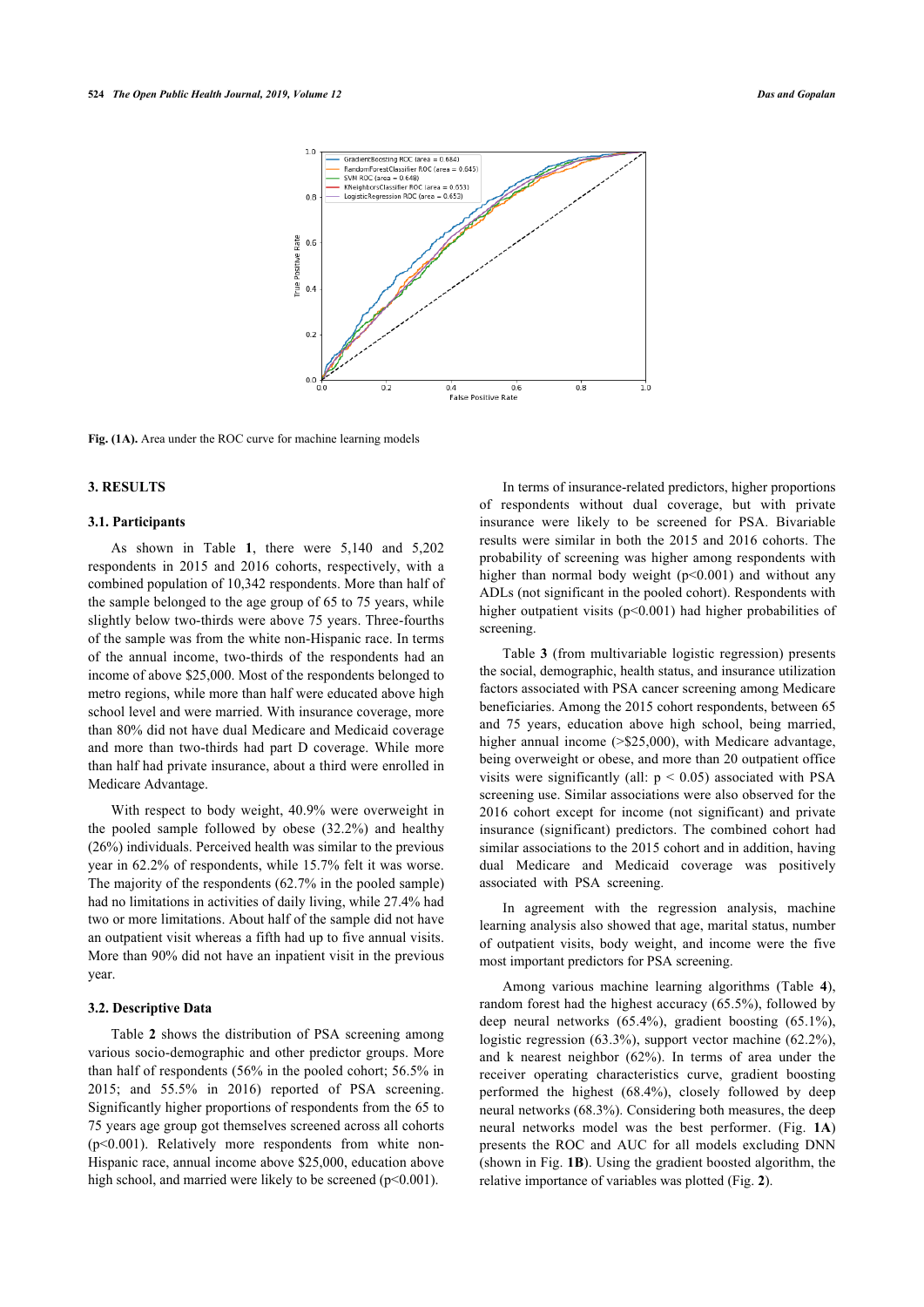

**Fig. (1A).** Area under the ROC curve for machine learning models

#### **3. RESULTS**

#### **3.1. Participants**

As shown in Table**1**, there were 5,140 and 5,202 respondents in 2015 and 2016 cohorts, respectively, with a combined population of 10,342 respondents. More than half of the sample belonged to the age group of 65 to 75 years, while slightly below two-thirds were above 75 years. Three-fourths of the sample was from the white non-Hispanic race. In terms of the annual income, two-thirds of the respondents had an income of above \$25,000. Most of the respondents belonged to metro regions, while more than half were educated above high school level and were married. With insurance coverage, more than 80% did not have dual Medicare and Medicaid coverage and more than two-thirds had part D coverage. While more than half had private insurance, about a third were enrolled in Medicare Advantage.

With respect to body weight, 40.9% were overweight in the pooled sample followed by obese (32.2%) and healthy (26%) individuals. Perceived health was similar to the previous year in 62.2% of respondents, while 15.7% felt it was worse. The majority of the respondents (62.7% in the pooled sample) had no limitations in activities of daily living, while 27.4% had two or more limitations. About half of the sample did not have an outpatient visit whereas a fifth had up to five annual visits. More than 90% did not have an inpatient visit in the previous year.

#### **3.2. Descr[ip](#page-6-0)tive Data**

Table **2** shows the distribution of PSA screening among various socio-demographic and other predictor groups. More than half of respondents (56% in the pooled cohort; 56.5% in 2015; and 55.5% in 2016) reported of PSA screening. Significantly higher proportions of respondents from the 65 to 75 years age group got themselves screened across all cohorts (p<0.001). Relatively more respondents from white non-Hispanic race, annual income above \$25,000, education above high school, and married were likely to be screened  $(p<0.001)$ .

In terms of insurance-related predictors, higher proportions of respondents without dual coverage, but with private insurance were likely to be screened for PSA. Bivariable results were similar in both the 2015 and 2016 cohorts. The probability of screening was higher among respondents with higher than normal body weight  $(p<0.001)$  and without any ADLs (not significant in the pooled cohort). Respondents with higher outpatient visits (p<0.001) had higher probabilities of screening.

Table **[3](#page-7-0)** (from multivariable logistic regression) presents the social, demographic, health status, and insurance utilization factors associated with PSA cancer screening among Medicare beneficiaries. Among the 2015 cohort respondents, between 65 and 75 years, education above high school, being married, higher annual income (> \$25,000), with Medicare advantage, being overweight or obese, and more than 20 outpatient office visits were significantly (all:  $p < 0.05$ ) associated with PSA screening use. Similar associations were also observed for the 2016 cohort except for income (not significant) and private insurance (significant) predictors. The combined cohort had similar associations to the 2015 cohort and in addition, having dual Medicare and Medicaid coverage was positively associated with PSA screening.

In agreement with the regression analysis, machine learning analysis also showed that age, marital status, number of outpatient visits, body weight, and income were the five most important predictors for PSA screening.

Among various machine learning algorithms (Table**4**), random forest had the highest accuracy (65.5%), followed by deep neural networks (65.4%), gradient boosting (65.1%), logistic regression (63.3%), support vector machine (62.2%), and k nearest neighbor (62%). In terms of area under the receiver operating characteristics curve, gradient boosting performed the highest (68.4%), closely followed by deep neural networks (68.3%). Considering both measures, the deep neural networks model was the best performer. (Fig. **[1A](#page-2-0)**) presents the ROC and AUC for all models excluding DNN (shown in Fig. **[1B](#page-4-1)**). Using the gradient boosted algorithm, the relative importance of variables was plotted (Fig. **[2](#page-4-2)**).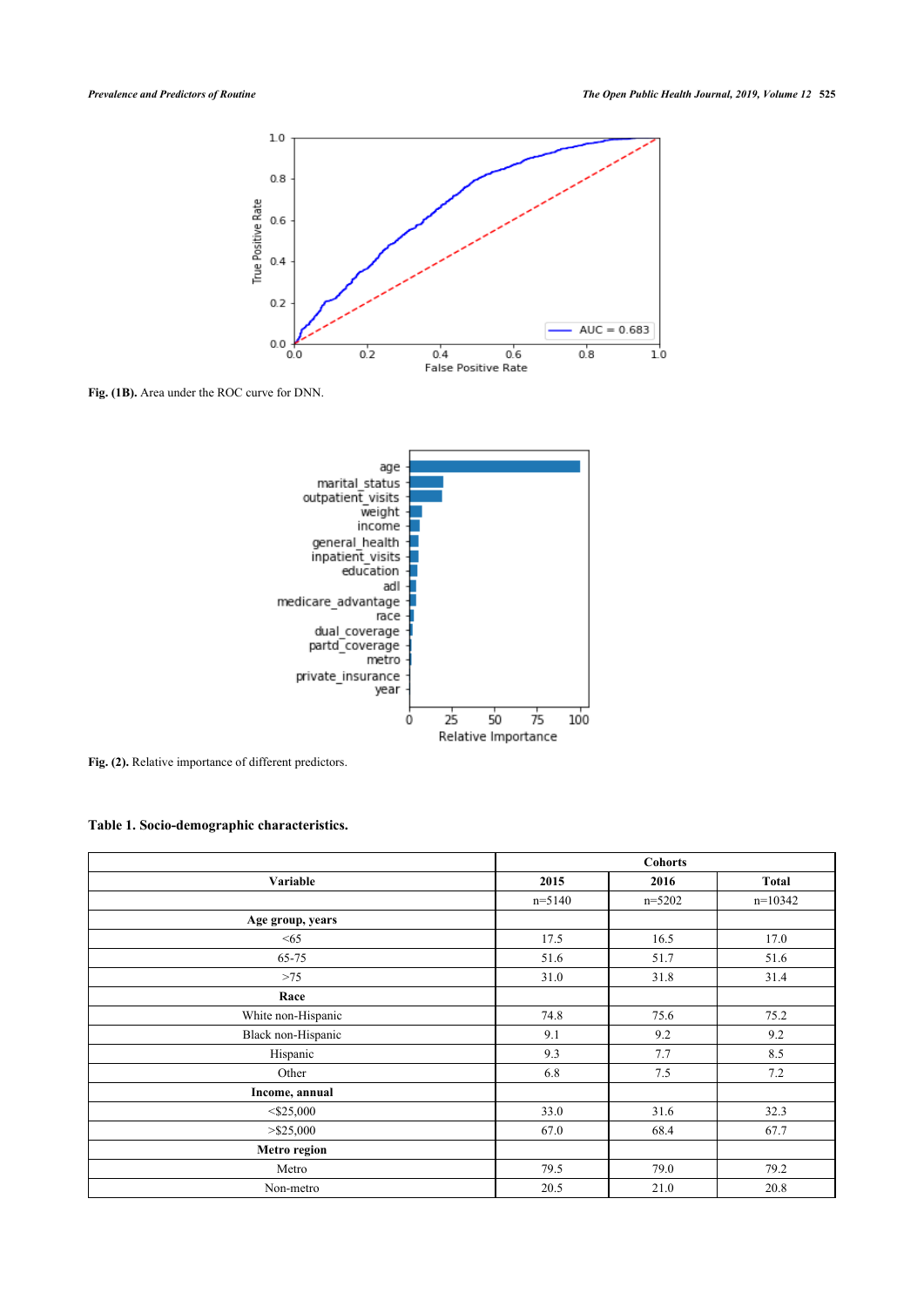<span id="page-4-1"></span>

<span id="page-4-2"></span>**Fig. (1B).** Area under the ROC curve for DNN.



Fig. (2). Relative importance of different predictors.

<span id="page-4-0"></span>**Table 1. Socio-demographic characteristics.**

|                    | <b>Cohorts</b> |            |           |  |  |  |
|--------------------|----------------|------------|-----------|--|--|--|
| Variable           | 2015           | 2016       | Total     |  |  |  |
|                    | $n=5140$       | $n = 5202$ | $n=10342$ |  |  |  |
| Age group, years   |                |            |           |  |  |  |
| $\leq 65$          | 17.5           | 16.5       | 17.0      |  |  |  |
| 65-75              | 51.6           | 51.7       | 51.6      |  |  |  |
| >75                | 31.0           | 31.8       | 31.4      |  |  |  |
| Race               |                |            |           |  |  |  |
| White non-Hispanic | 74.8           | 75.6       | 75.2      |  |  |  |
| Black non-Hispanic | 9.1            | 9.2        | 9.2       |  |  |  |
| Hispanic           | 9.3            | 7.7        | 8.5       |  |  |  |
| Other              | 6.8            | 7.5        | 7.2       |  |  |  |
| Income, annual     |                |            |           |  |  |  |
| $<$ \$25,000       | 33.0           | 31.6       | 32.3      |  |  |  |
| $>$ \$25,000       | 67.0           | 68.4       | 67.7      |  |  |  |
| Metro region       |                |            |           |  |  |  |
| Metro              | 79.5           | 79.0       | 79.2      |  |  |  |
| Non-metro          | 20.5           | 21.0       | 20.8      |  |  |  |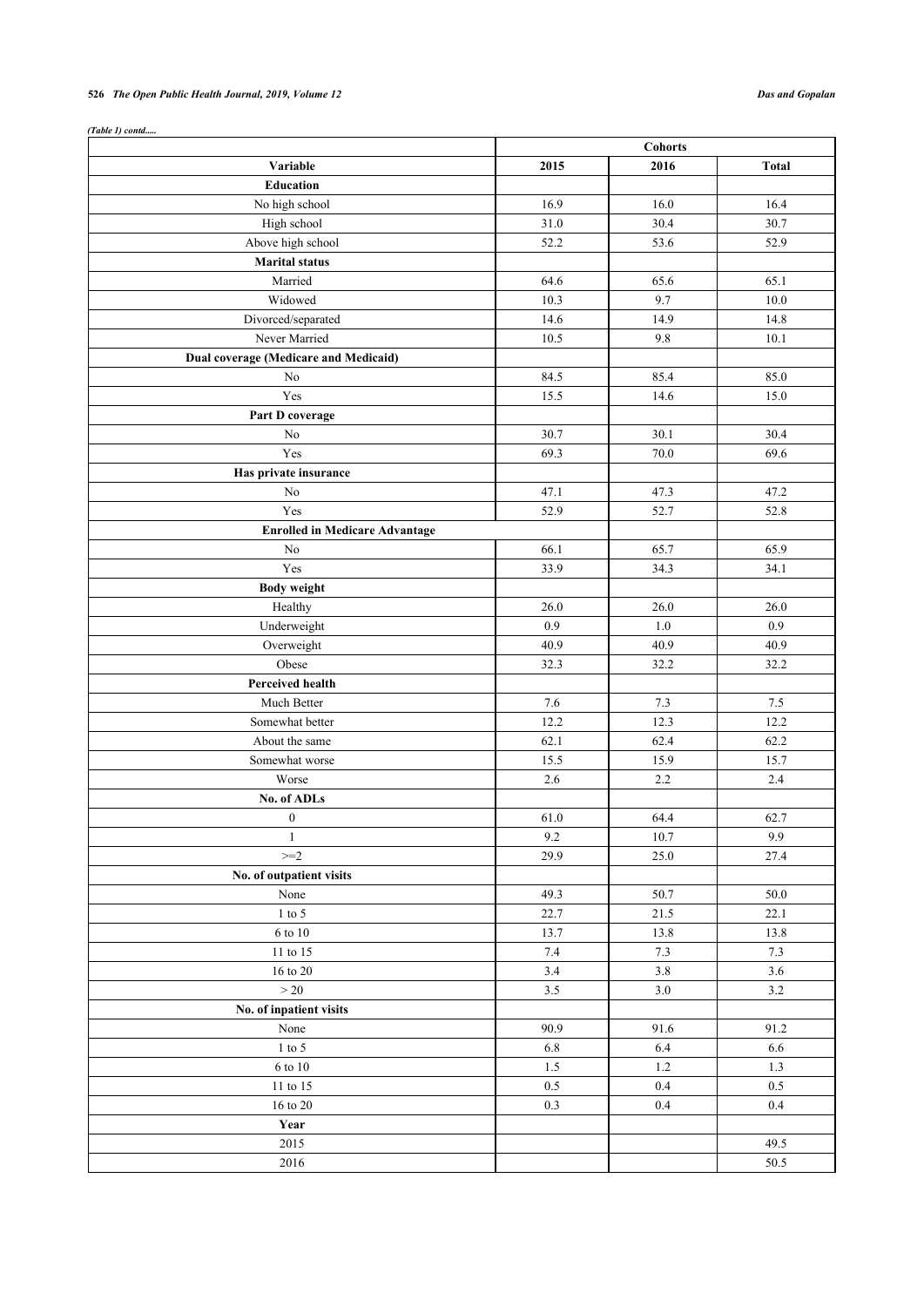# **526** *The Open Public Health Journal, 2019, Volume 12 Das and Gopalan*

| (Table 1) contd                       |                |          |              |  |
|---------------------------------------|----------------|----------|--------------|--|
|                                       | <b>Cohorts</b> |          |              |  |
| Variable                              | 2015           | 2016     | <b>Total</b> |  |
| <b>Education</b>                      |                |          |              |  |
| No high school                        | 16.9           | 16.0     | 16.4         |  |
| High school                           | 31.0           | 30.4     | 30.7         |  |
| Above high school                     | 52.2           | 53.6     | 52.9         |  |
| <b>Marital status</b>                 |                |          |              |  |
| Married                               | 64.6           | 65.6     | 65.1         |  |
| Widowed                               | 10.3           | 9.7      | 10.0         |  |
| Divorced/separated                    | 14.6           | 14.9     | 14.8         |  |
| Never Married                         | 10.5           | 9.8      | 10.1         |  |
| Dual coverage (Medicare and Medicaid) |                |          |              |  |
| N <sub>0</sub>                        | 84.5           | 85.4     | 85.0         |  |
| Yes                                   | 15.5           | 14.6     | 15.0         |  |
| Part D coverage                       |                |          |              |  |
| No                                    | 30.7           | 30.1     | 30.4         |  |
| Yes                                   | 69.3           | 70.0     | 69.6         |  |
| Has private insurance                 |                |          |              |  |
| N <sub>o</sub>                        | 47.1           | 47.3     | 47.2         |  |
| Yes                                   | 52.9           | 52.7     | 52.8         |  |
| <b>Enrolled in Medicare Advantage</b> |                |          |              |  |
| No                                    | 66.1           | 65.7     | 65.9         |  |
| Yes                                   | 33.9           | 34.3     | 34.1         |  |
|                                       |                |          |              |  |
| <b>Body weight</b>                    |                |          |              |  |
| Healthy                               | 26.0           | 26.0     | 26.0         |  |
| Underweight                           | 0.9            | 1.0      | 0.9          |  |
| Overweight                            | 40.9           | 40.9     | 40.9         |  |
| Obese                                 | 32.3           | 32.2     | 32.2         |  |
| Perceived health                      |                |          |              |  |
| Much Better                           | 7.6            | 7.3      | $7.5\,$      |  |
| Somewhat better                       | 12.2           | 12.3     | 12.2         |  |
| About the same                        | 62.1           | 62.4     | 62.2         |  |
| Somewhat worse                        | 15.5           | 15.9     | 15.7         |  |
| Worse                                 | 2.6            | 2.2      | 2.4          |  |
| No. of ADLs                           |                |          |              |  |
| $\bf{0}$                              | 61.0           | 64.4     | 62.7         |  |
| $\mathbf{1}$                          | 9.2            | 10.7     | 9.9          |  |
| $>=2$                                 | 29.9           | $25.0\,$ | 27.4         |  |
| No. of outpatient visits              |                |          |              |  |
| None                                  | 49.3           | 50.7     | 50.0         |  |
| $1$ to $5\,$                          | 22.7           | 21.5     | 22.1         |  |
| $6$ to $10\,$                         | 13.7           | 13.8     | 13.8         |  |
| 11 to 15                              | $7.4\,$        | 7.3      | 7.3          |  |
| $16$ to $20\,$                        | $3.4$          | 3.8      | 3.6          |  |
| $>20$                                 | 3.5            | 3.0      | 3.2          |  |
| No. of inpatient visits               |                |          |              |  |
| None                                  | 90.9           | 91.6     | 91.2         |  |
| $1$ to $5\,$                          | 6.8            | 6.4      | 6.6          |  |
| $6$ to $10\,$                         | $1.5$          | $1.2\,$  | $1.3$        |  |
| 11 to 15                              | 0.5            | 0.4      | 0.5          |  |
| $16$ to $20\,$                        | 0.3            | 0.4      | 0.4          |  |
| Year                                  |                |          |              |  |
| 2015                                  |                |          | 49.5         |  |
| 2016                                  |                |          | 50.5         |  |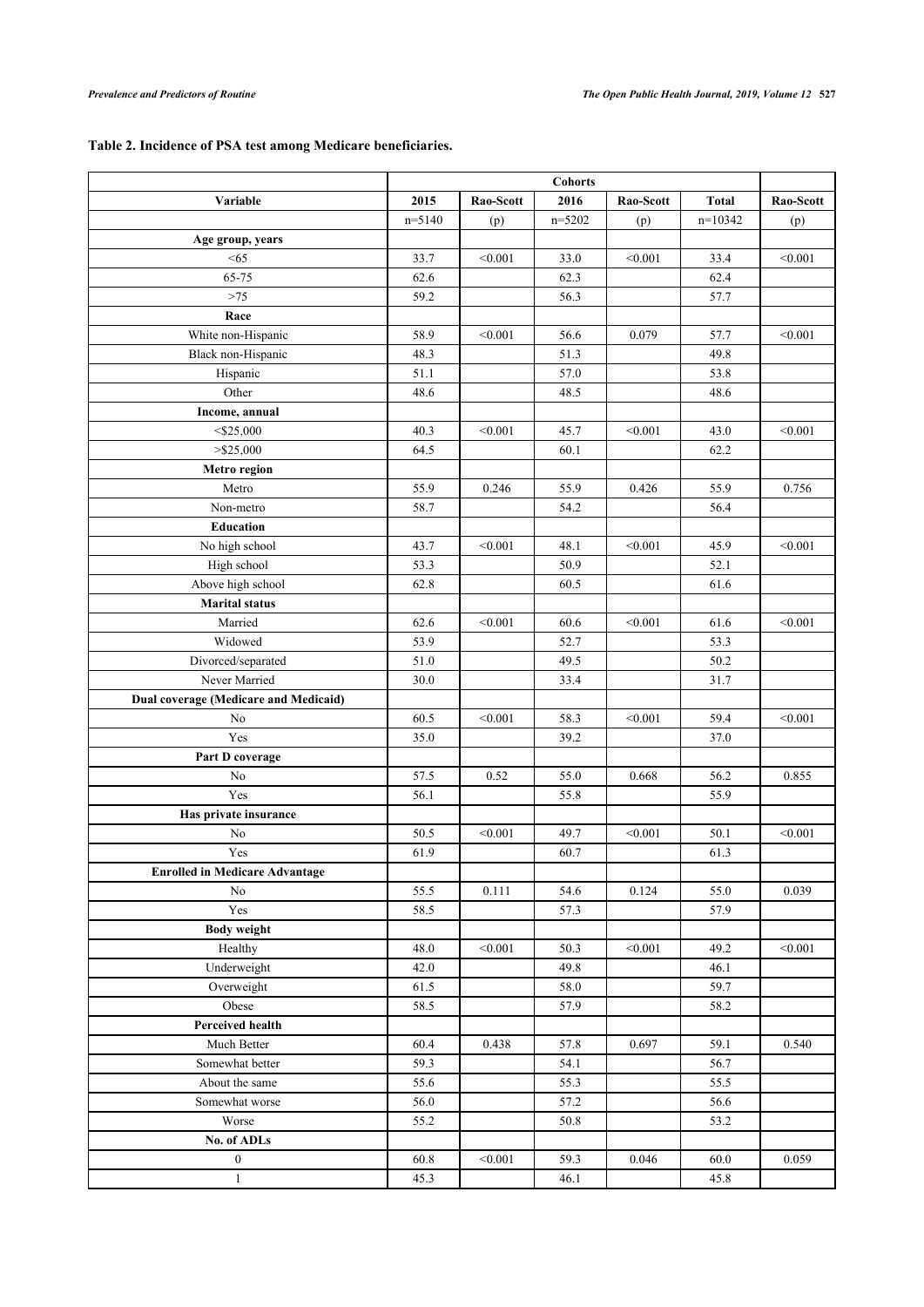# <span id="page-6-0"></span>**Table 2. Incidence of PSA test among Medicare beneficiaries.**

|                                       | <b>Cohorts</b> |           |            |           |              |           |  |
|---------------------------------------|----------------|-----------|------------|-----------|--------------|-----------|--|
| Variable                              | 2015           | Rao-Scott | 2016       | Rao-Scott | <b>Total</b> | Rao-Scott |  |
|                                       | $n=5140$       | (p)       | $n = 5202$ | (p)       | $n=10342$    | (p)       |  |
| Age group, years                      |                |           |            |           |              |           |  |
| < 65                                  | 33.7           | < 0.001   | 33.0       | < 0.001   | 33.4         | < 0.001   |  |
| 65-75                                 | 62.6           |           | 62.3       |           | 62.4         |           |  |
| $>75$                                 | 59.2           |           | 56.3       |           | 57.7         |           |  |
| Race                                  |                |           |            |           |              |           |  |
| White non-Hispanic                    | 58.9           | < 0.001   | 56.6       | 0.079     | 57.7         | < 0.001   |  |
| Black non-Hispanic                    | 48.3           |           | 51.3       |           | 49.8         |           |  |
| Hispanic                              | 51.1           |           | 57.0       |           | 53.8         |           |  |
| Other                                 | 48.6           |           | 48.5       |           | 48.6         |           |  |
| Income, annual                        |                |           |            |           |              |           |  |
| $<$ \$25,000                          | 40.3           | < 0.001   | 45.7       | < 0.001   | 43.0         | < 0.001   |  |
| $>$ \$25,000                          | 64.5           |           | 60.1       |           | 62.2         |           |  |
| Metro region                          |                |           |            |           |              |           |  |
| Metro                                 | 55.9           | 0.246     | 55.9       | 0.426     | 55.9         | 0.756     |  |
| Non-metro                             | 58.7           |           | 54.2       |           | 56.4         |           |  |
| <b>Education</b>                      |                |           |            |           |              |           |  |
| No high school                        | 43.7           | < 0.001   | 48.1       | < 0.001   | 45.9         | < 0.001   |  |
| High school                           | 53.3           |           | 50.9       |           | 52.1         |           |  |
| Above high school                     | 62.8           |           | 60.5       |           | 61.6         |           |  |
| <b>Marital</b> status                 |                |           |            |           |              |           |  |
| Married                               | 62.6           | < 0.001   | 60.6       | < 0.001   | 61.6         | < 0.001   |  |
| Widowed                               | 53.9           |           | 52.7       |           | 53.3         |           |  |
| Divorced/separated                    | 51.0           |           | 49.5       |           | 50.2         |           |  |
| Never Married                         | 30.0           |           | 33.4       |           | 31.7         |           |  |
| Dual coverage (Medicare and Medicaid) |                |           |            |           |              |           |  |
| N <sub>0</sub>                        | 60.5           | < 0.001   | 58.3       | < 0.001   | 59.4         | < 0.001   |  |
| Yes                                   | 35.0           |           | 39.2       |           | 37.0         |           |  |
| Part D coverage                       |                |           |            |           |              |           |  |
| No                                    | 57.5           | 0.52      | 55.0       | 0.668     | 56.2         | 0.855     |  |
| Yes                                   | 56.1           |           | 55.8       |           | 55.9         |           |  |
| Has private insurance                 |                |           |            |           |              |           |  |
| No                                    | 50.5           | < 0.001   | 49.7       | < 0.001   | 50.1         | < 0.001   |  |
| Yes                                   | 61.9           |           | 60.7       |           | 61.3         |           |  |
| <b>Enrolled in Medicare Advantage</b> |                |           |            |           |              |           |  |
| No                                    | 55.5           | 0.111     | 54.6       | 0.124     | 55.0         | 0.039     |  |
| Yes                                   | 58.5           |           | 57.3       |           | 57.9         |           |  |
| <b>Body weight</b>                    |                |           |            |           |              |           |  |
| Healthy                               | 48.0           | < 0.001   | 50.3       | < 0.001   | 49.2         | < 0.001   |  |
| Underweight                           | 42.0           |           | 49.8       |           | 46.1         |           |  |
| Overweight                            | 61.5           |           | 58.0       |           | 59.7         |           |  |
| Obese                                 | 58.5           |           | 57.9       |           | 58.2         |           |  |
| <b>Perceived health</b>               |                |           |            |           |              |           |  |
| Much Better                           | 60.4           | 0.438     | 57.8       | 0.697     | 59.1         | 0.540     |  |
| Somewhat better                       | 59.3           |           | 54.1       |           | 56.7         |           |  |
| About the same                        | 55.6           |           | 55.3       |           | 55.5         |           |  |
| Somewhat worse                        | 56.0           |           | 57.2       |           | 56.6         |           |  |
|                                       |                |           |            |           |              |           |  |
| Worse                                 | 55.2           |           | 50.8       |           | 53.2         |           |  |
| No. of ADLs<br>$\boldsymbol{0}$       |                |           |            |           |              |           |  |
|                                       | 60.8           | < 0.001   | 59.3       | 0.046     | 60.0         | 0.059     |  |
| $\mathbf{1}$                          | 45.3           |           | 46.1       |           | 45.8         |           |  |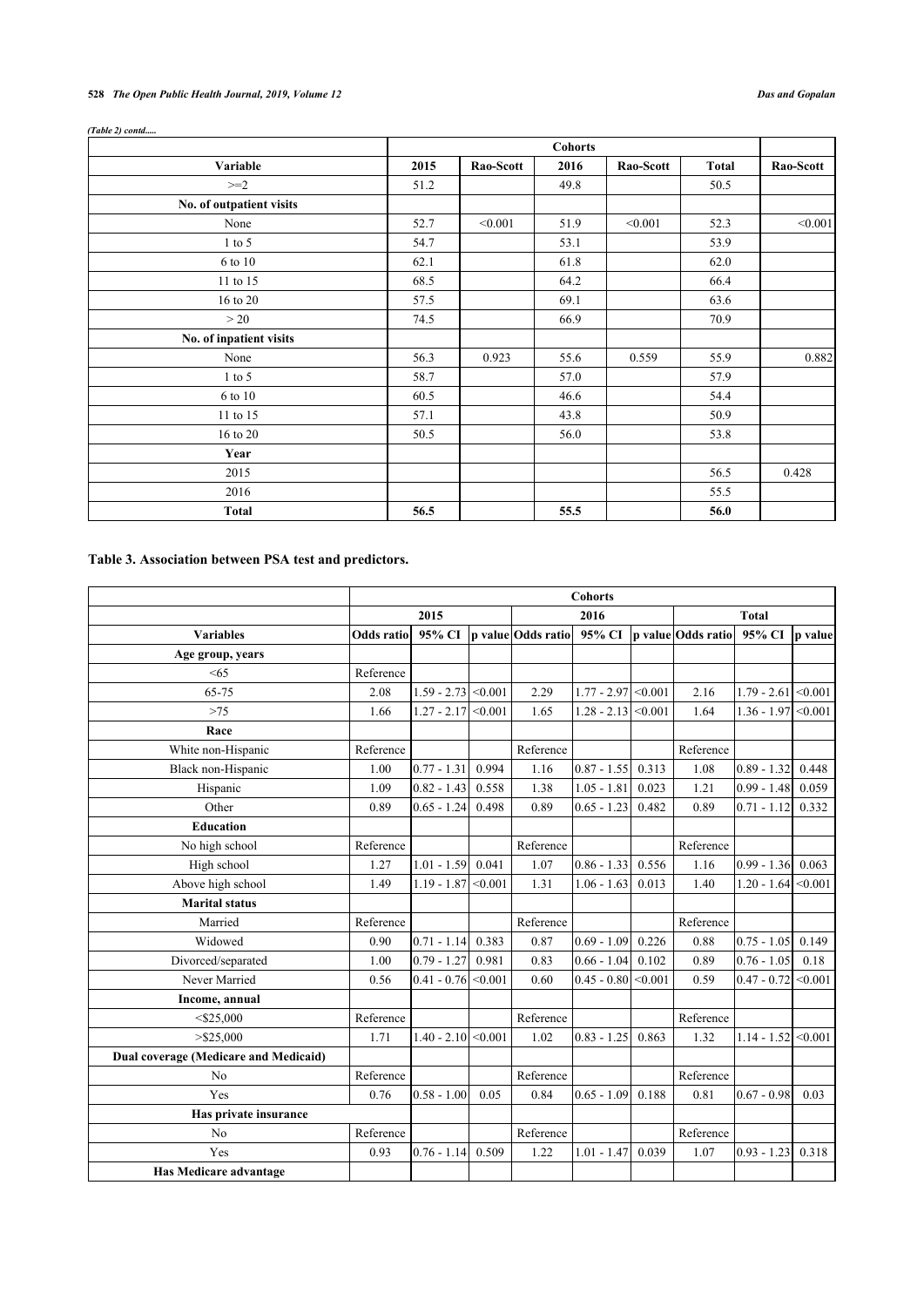# **528** *The Open Public Health Journal, 2019, Volume 12 Das and Gopalan*

|                          |      | <b>Cohorts</b> |      |           |              |           |  |  |  |  |
|--------------------------|------|----------------|------|-----------|--------------|-----------|--|--|--|--|
| Variable                 | 2015 | Rao-Scott      | 2016 | Rao-Scott | <b>Total</b> | Rao-Scott |  |  |  |  |
| $>=2$                    | 51.2 |                | 49.8 |           | 50.5         |           |  |  |  |  |
| No. of outpatient visits |      |                |      |           |              |           |  |  |  |  |
| None                     | 52.7 | < 0.001        | 51.9 | < 0.001   | 52.3         | < 0.001   |  |  |  |  |
| $1$ to 5                 | 54.7 |                | 53.1 |           | 53.9         |           |  |  |  |  |
| 6 to 10                  | 62.1 |                | 61.8 |           | 62.0         |           |  |  |  |  |
| 11 to 15                 | 68.5 |                | 64.2 |           | 66.4         |           |  |  |  |  |
| 16 to 20                 | 57.5 |                | 69.1 |           | 63.6         |           |  |  |  |  |
| >20                      | 74.5 |                | 66.9 |           | 70.9         |           |  |  |  |  |
| No. of inpatient visits  |      |                |      |           |              |           |  |  |  |  |
| None                     | 56.3 | 0.923          | 55.6 | 0.559     | 55.9         | 0.882     |  |  |  |  |
| $1$ to 5                 | 58.7 |                | 57.0 |           | 57.9         |           |  |  |  |  |
| 6 to 10                  | 60.5 |                | 46.6 |           | 54.4         |           |  |  |  |  |
| 11 to 15                 | 57.1 |                | 43.8 |           | 50.9         |           |  |  |  |  |
| 16 to 20                 | 50.5 |                | 56.0 |           | 53.8         |           |  |  |  |  |
| Year                     |      |                |      |           |              |           |  |  |  |  |
| 2015                     |      |                |      |           | 56.5         | 0.428     |  |  |  |  |
| 2016                     |      |                |      |           | 55.5         |           |  |  |  |  |
| <b>Total</b>             | 56.5 |                | 55.5 |           | 56.0         |           |  |  |  |  |

# *(Table 2) contd.....*

# <span id="page-7-0"></span>**Table 3. Association between PSA test and predictors.**

|                                       | <b>Cohorts</b>    |                       |       |                    |                       |         |                    |                       |         |
|---------------------------------------|-------------------|-----------------------|-------|--------------------|-----------------------|---------|--------------------|-----------------------|---------|
|                                       | 2015              |                       |       | 2016               |                       |         | <b>Total</b>       |                       |         |
| <b>Variables</b>                      | <b>Odds</b> ratio | 95% CI                |       | p value Odds ratio | 95% CI                |         | p value Odds ratio | 95% CI                | p value |
| Age group, years                      |                   |                       |       |                    |                       |         |                    |                       |         |
| < 65                                  | Reference         |                       |       |                    |                       |         |                    |                       |         |
| 65-75                                 | 2.08              | $1.59 - 2.73$ < 0.001 |       | 2.29               | $1.77 - 2.97$ < 0.001 |         | 2.16               | $1.79 - 2.61$ < 0.001 |         |
| $>75$                                 | 1.66              | $1.27 - 2.17$ < 0.001 |       | 1.65               | $1.28 - 2.13$         | < 0.001 | 1.64               | $1.36 - 1.97$         | < 0.001 |
| Race                                  |                   |                       |       |                    |                       |         |                    |                       |         |
| White non-Hispanic                    | Reference         |                       |       | Reference          |                       |         | Reference          |                       |         |
| Black non-Hispanic                    | 1.00              | $0.77 - 1.31$         | 0.994 | 1.16               | $0.87 - 1.55$         | 0.313   | 1.08               | $0.89 - 1.32$         | 0.448   |
| Hispanic                              | 1.09              | $0.82 - 1.43$         | 0.558 | 1.38               | $1.05 - 1.81$         | 0.023   | 1.21               | $0.99 - 1.48$         | 0.059   |
| Other                                 | 0.89              | $0.65 - 1.24$         | 0.498 | 0.89               | $0.65 - 1.23$         | 0.482   | 0.89               | $0.71 - 1.12$         | 0.332   |
| <b>Education</b>                      |                   |                       |       |                    |                       |         |                    |                       |         |
| No high school                        | Reference         |                       |       | Reference          |                       |         | Reference          |                       |         |
| High school                           | 1.27              | $1.01 - 1.59$         | 0.041 | 1.07               | $0.86 - 1.33$         | 0.556   | 1.16               | $0.99 - 1.36$         | 0.063   |
| Above high school                     | 1.49              | $1.19 - 1.87$ < 0.001 |       | 1.31               | $1.06 - 1.63$         | 0.013   | 1.40               | $1.20 - 1.64$         | < 0.001 |
| <b>Marital status</b>                 |                   |                       |       |                    |                       |         |                    |                       |         |
| Married                               | Reference         |                       |       | Reference          |                       |         | Reference          |                       |         |
| Widowed                               | 0.90              | $0.71 - 1.14$         | 0.383 | 0.87               | $0.69 - 1.09$         | 0.226   | 0.88               | $0.75 - 1.05$         | 0.149   |
| Divorced/separated                    | 1.00              | $0.79 - 1.27$         | 0.981 | 0.83               | $0.66 - 1.04$         | 0.102   | 0.89               | $0.76 - 1.05$         | 0.18    |
| Never Married                         | 0.56              | $0.41 - 0.76$ < 0.001 |       | 0.60               | $0.45 - 0.80$         | < 0.001 | 0.59               | $0.47 - 0.72$         | < 0.001 |
| Income, annual                        |                   |                       |       |                    |                       |         |                    |                       |         |
| $<$ \$25,000                          | Reference         |                       |       | Reference          |                       |         | Reference          |                       |         |
| $>$ \$25,000                          | 1.71              | $1.40 - 2.10$ < 0.001 |       | 1.02               | $0.83 - 1.25$         | 0.863   | 1.32               | $1.14 - 1.52$         | < 0.001 |
| Dual coverage (Medicare and Medicaid) |                   |                       |       |                    |                       |         |                    |                       |         |
| N <sub>o</sub>                        | Reference         |                       |       | Reference          |                       |         | Reference          |                       |         |
| Yes                                   | 0.76              | $0.58 - 1.00$         | 0.05  | 0.84               | $0.65 - 1.09$         | 0.188   | 0.81               | $0.67 - 0.98$         | 0.03    |
| Has private insurance                 |                   |                       |       |                    |                       |         |                    |                       |         |
| N <sub>o</sub>                        | Reference         |                       |       | Reference          |                       |         | Reference          |                       |         |
| Yes                                   | 0.93              | $0.76 - 1.14$         | 0.509 | 1.22               | $1.01 - 1.47$         | 0.039   | 1.07               | $0.93 - 1.23$         | 0.318   |
| Has Medicare advantage                |                   |                       |       |                    |                       |         |                    |                       |         |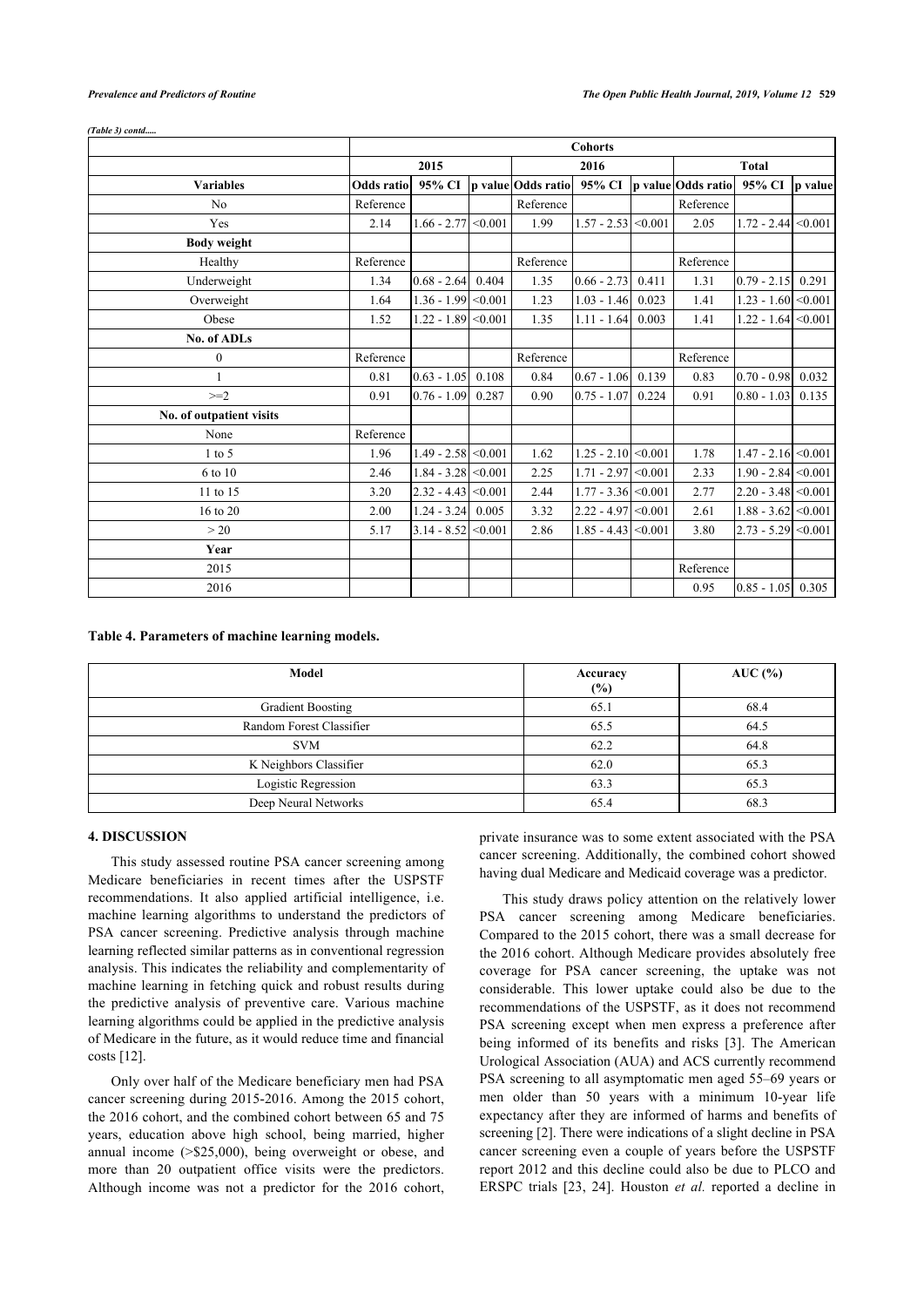|                          | <b>Cohorts</b>    |                       |         |                    |                       |         |                    |                       |                |
|--------------------------|-------------------|-----------------------|---------|--------------------|-----------------------|---------|--------------------|-----------------------|----------------|
|                          | 2015              |                       |         | 2016               |                       |         | <b>Total</b>       |                       |                |
| <b>Variables</b>         | <b>Odds</b> ratio | 95% CI                |         | p value Odds ratio | 95% CI                |         | p value Odds ratio | 95% CI                | <i>p</i> value |
| No                       | Reference         |                       |         | Reference          |                       |         | Reference          |                       |                |
| Yes                      | 2.14              | $1.66 - 2.77$         | < 0.001 | 1.99               | $1.57 - 2.53$         | < 0.001 | 2.05               | $1.72 - 2.44$         | < 0.001        |
| <b>Body weight</b>       |                   |                       |         |                    |                       |         |                    |                       |                |
| Healthy                  | Reference         |                       |         | Reference          |                       |         | Reference          |                       |                |
| Underweight              | 1.34              | $0.68 - 2.64$ 0.404   |         | 1.35               | $0.66 - 2.73$         | 0.411   | 1.31               | $0.79 - 2.15$         | 0.291          |
| Overweight               | 1.64              | $1.36 - 1.99$ < 0.001 |         | 1.23               | $1.03 - 1.46$         | 0.023   | 1.41               | $1.23 - 1.60$ < 0.001 |                |
| Obese                    | 1.52              | $1.22 - 1.89$ < 0.001 |         | 1.35               | $1.11 - 1.64$         | 0.003   | 1.41               | $1.22 - 1.64$ < 0.001 |                |
| No. of ADLs              |                   |                       |         |                    |                       |         |                    |                       |                |
| $\boldsymbol{0}$         | Reference         |                       |         | Reference          |                       |         | Reference          |                       |                |
| 1                        | 0.81              | $0.63 - 1.05$         | 0.108   | 0.84               | $0.67 - 1.06$         | 0.139   | 0.83               | $0.70 - 0.98$         | 0.032          |
| $\geq=2$                 | 0.91              | $0.76 - 1.09$         | 0.287   | 0.90               | $0.75 - 1.07$         | 0.224   | 0.91               | $0.80 - 1.03$         | 0.135          |
| No. of outpatient visits |                   |                       |         |                    |                       |         |                    |                       |                |
| None                     | Reference         |                       |         |                    |                       |         |                    |                       |                |
| $1$ to 5                 | 1.96              | $1.49 - 2.58$ < 0.001 |         | 1.62               | $1.25 - 2.10$ < 0.001 |         | 1.78               | $1.47 - 2.16$ < 0.001 |                |
| 6 to 10                  | 2.46              | $1.84 - 3.28$ < 0.001 |         | 2.25               | $1.71 - 2.97$ < 0.001 |         | 2.33               | $1.90 - 2.84$ < 0.001 |                |
| 11 to 15                 | 3.20              | $2.32 - 4.43$ < 0.001 |         | 2.44               | $1.77 - 3.36$ < 0.001 |         | 2.77               | $2.20 - 3.48$ < 0.001 |                |
| 16 to 20                 | 2.00              | $1.24 - 3.24$         | 0.005   | 3.32               | $2.22 - 4.97$ < 0.001 |         | 2.61               | $1.88 - 3.62$ < 0.001 |                |
| >20                      | 5.17              | $3.14 - 8.52$ < 0.001 |         | 2.86               | $1.85 - 4.43$ < 0.001 |         | 3.80               | $2.73 - 5.29$ < 0.001 |                |
| Year                     |                   |                       |         |                    |                       |         |                    |                       |                |
| 2015                     |                   |                       |         |                    |                       |         | Reference          |                       |                |
| 2016                     |                   |                       |         |                    |                       |         | 0.95               | $0.85 - 1.05$ 0.305   |                |

#### *(Table 3) contd.....*

### <span id="page-8-0"></span>**Table 4. Parameters of machine learning models.**

| Model                    | Accuracy<br>(%) | $AUC$ (%) |
|--------------------------|-----------------|-----------|
| Gradient Boosting        | 65.1            | 68.4      |
| Random Forest Classifier | 65.5            | 64.5      |
| <b>SVM</b>               | 62.2            | 64.8      |
| K Neighbors Classifier   | 62.0            | 65.3      |
| Logistic Regression      | 63.3            | 65.3      |
| Deep Neural Networks     | 65.4            | 68.3      |

#### **4. DISCUSSION**

This study assessed routine PSA cancer screening among Medicare beneficiaries in recent times after the USPSTF recommendations. It also applied artificial intelligence, i.e. machine learning algorithms to understand the predictors of PSA cancer screening. Predictive analysis through machine learning reflected similar patterns as in conventional regression analysis. This indicates the reliability and complementarity of machine learning in fetching quick and robust results during the predictive analysis of preventive care. Various machine learning algorithms could be applied in the predictive analysis of Medicare in the future, as it would reduce time and financial costs [[12\]](#page-10-7).

Only over half of the Medicare beneficiary men had PSA cancer screening during 2015-2016. Among the 2015 cohort, the 2016 cohort, and the combined cohort between 65 and 75 years, education above high school, being married, higher annual income (>\$25,000), being overweight or obese, and more than 20 outpatient office visits were the predictors. Although income was not a predictor for the 2016 cohort, private insurance was to some extent associated with the PSA cancer screening. Additionally, the combined cohort showed having dual Medicare and Medicaid coverage was a predictor.

This study draws policy attention on the relatively lower PSA cancer screening among Medicare beneficiaries. Compared to the 2015 cohort, there was a small decrease for the 2016 cohort. Although Medicare provides absolutely free coverage for PSA cancer screening, the uptake was not considerable. This lower uptake could also be due to the recommendations of the USPSTF, as it does not recommend PSA screening except when men express a preference after being informed of its benefits and risks [\[3\]](#page-9-2). The American Urological Association (AUA) and ACS currently recommend PSA screening to all asymptomatic men aged 55–69 years or men older than 50 years with a minimum 10-year life expectancy after they are informed of harms and benefits of screening [[2](#page-9-1)]. There were indications of a slight decline in PSA cancer screening even a couple of years before the USPSTF report 2012 and this decline could also be due to PLCO and ERSPC trials [\[23](#page-10-2), [24\]](#page-10-3). Houston *et al.* reported a decline in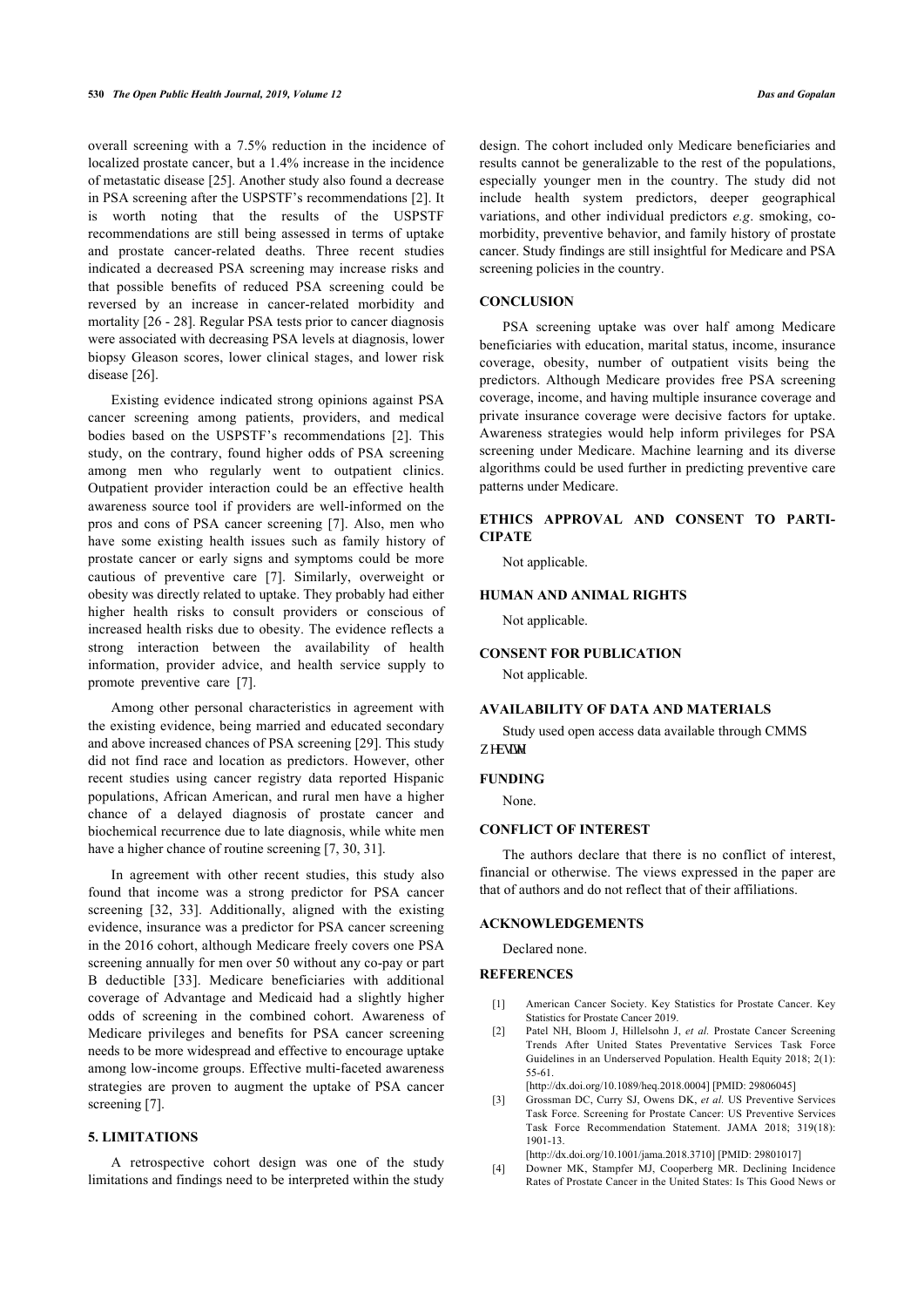overall screening with a 7.5% reduction in the incidence of localized prostate cancer, but a 1.4% increase in the incidence of metastatic disease [\[25](#page-10-18)]. Another study also found a decrease in PSA screening after the USPSTF's recommendations [\[2\]](#page-9-1). It is worth noting that the results of the USPSTF recommendations are still being assessed in terms of uptake and prostate cancer-related deaths. Three recent studies indicated a decreased PSA screening may increase risks and that possible benefits of reduced PSA screening could be reversed by an increase in cancer-related morbidity and mortality [\[26](#page-10-19) - [28\]](#page-10-20). Regular PSA tests prior to cancer diagnosis were associated with decreasing PSA levels at diagnosis, lower biopsy Gleason scores, lower clinical stages, and lower risk disease [[26\]](#page-10-19).

Existing evidence indicated strong opinions against PSA cancer screening among patients, providers, and medical bodies based on the USPSTF's recommendations[[2](#page-9-1)]. This study, on the contrary, found higher odds of PSA screening among men who regularly went to outpatient clinics. Outpatient provider interaction could be an effective health awareness source tool if providers are well-informed on the pros and cons of PSA cancer screening [\[7](#page-10-2)]. Also, men who have some existing health issues such as family history of prostate cancer or early signs and symptoms could be more cautious of preventive care [\[7\]](#page-10-2). Similarly, overweight or obesity was directly related to uptake. They probably had either higher health risks to consult providers or conscious of increased health risks due to obesity. The evidence reflects a strong interaction between the availability of health information, provider advice, and health service supply to promote preventive care [\[7\]](#page-10-2).

Among other personal characteristics in agreement with the existing evidence, being married and educated secondary and above increased chances of PSA screening [[29\]](#page-10-21). This study did not find race and location as predictors. However, other recent studies using cancer registry data reported Hispanic populations, African American, and rural men have a higher chance of a delayed diagnosis of prostate cancer and biochemical recurrence due to late diagnosis, while white men have a higher chance of routine screening [[7](#page-10-2), [30,](#page-10-22) [31](#page-10-23)].

<span id="page-9-0"></span>In agreement with other recent studies, this study also found that income was a strong predictor for PSA cancer screening[[32,](#page-10-24) [33](#page-10-25)]. Additionally, aligned with the existing evidence, insurance was a predictor for PSA cancer screening in the 2016 cohort, although Medicare freely covers one PSA screening annually for men over 50 without any co-pay or part B deductible[[33](#page-10-25)]. Medicare beneficiaries with additional coverage of Advantage and Medicaid had a slightly higher odds of screening in the combined cohort. Awareness of Medicare privileges and benefits for PSA cancer screening needs to be more widespread and effective to encourage uptake among low-income groups. Effective multi-faceted awareness strategies are proven to augment the uptake of PSA cancer screening [\[7\]](#page-10-2).

#### <span id="page-9-2"></span><span id="page-9-1"></span>**5. LIMITATIONS**

<span id="page-9-3"></span>A retrospective cohort design was one of the study limitations and findings need to be interpreted within the study design. The cohort included only Medicare beneficiaries and results cannot be generalizable to the rest of the populations, especially younger men in the country. The study did not include health system predictors, deeper geographical variations, and other individual predictors *e.g*. smoking, comorbidity, preventive behavior, and family history of prostate cancer. Study findings are still insightful for Medicare and PSA screening policies in the country.

### **CONCLUSION**

PSA screening uptake was over half among Medicare beneficiaries with education, marital status, income, insurance coverage, obesity, number of outpatient visits being the predictors. Although Medicare provides free PSA screening coverage, income, and having multiple insurance coverage and private insurance coverage were decisive factors for uptake. Awareness strategies would help inform privileges for PSA screening under Medicare. Machine learning and its diverse algorithms could be used further in predicting preventive care patterns under Medicare.

# **ETHICS APPROVAL AND CONSENT TO PARTI-CIPATE**

Not applicable.

#### **HUMAN AND ANIMAL RIGHTS**

Not applicable.

### **CONSENT FOR PUBLICATION**

Not applicable.

#### **AVAILABILITY OF DATA AND MATERIALS**

Study used open access data available through CMMS y gdukg.

#### **FUNDING**

None.

#### **CONFLICT OF INTEREST**

The authors declare that there is no conflict of interest, financial or otherwise. The views expressed in the paper are that of authors and do not reflect that of their affiliations.

#### **ACKNOWLEDGEMENTS**

Declared none.

#### **REFERENCES**

- [1] American Cancer Society. Key Statistics for Prostate Cancer. Key Statistics for Prostate Cancer 2019.
- [2] Patel NH, Bloom J, Hillelsohn J, *et al.* Prostate Cancer Screening Trends After United States Preventative Services Task Force Guidelines in an Underserved Population. Health Equity 2018; 2(1): 55-61.

[\[http://dx.doi.org/10.1089/heq.2018.0004](http://dx.doi.org/10.1089/heq.2018.0004)] [PMID: [29806045\]](http://www.ncbi.nlm.nih.gov/pubmed/29806045)

[3] Grossman DC, Curry SJ, Owens DK, *et al.* US Preventive Services Task Force. Screening for Prostate Cancer: US Preventive Services Task Force Recommendation Statement. JAMA 2018; 319(18): 1901-13.

[\[http://dx.doi.org/10.1001/jama.2018.3710\]](http://dx.doi.org/10.1001/jama.2018.3710) [PMID: [29801017](http://www.ncbi.nlm.nih.gov/pubmed/29801017)]

[4] Downer MK, Stampfer MJ, Cooperberg MR. Declining Incidence Rates of Prostate Cancer in the United States: Is This Good News or